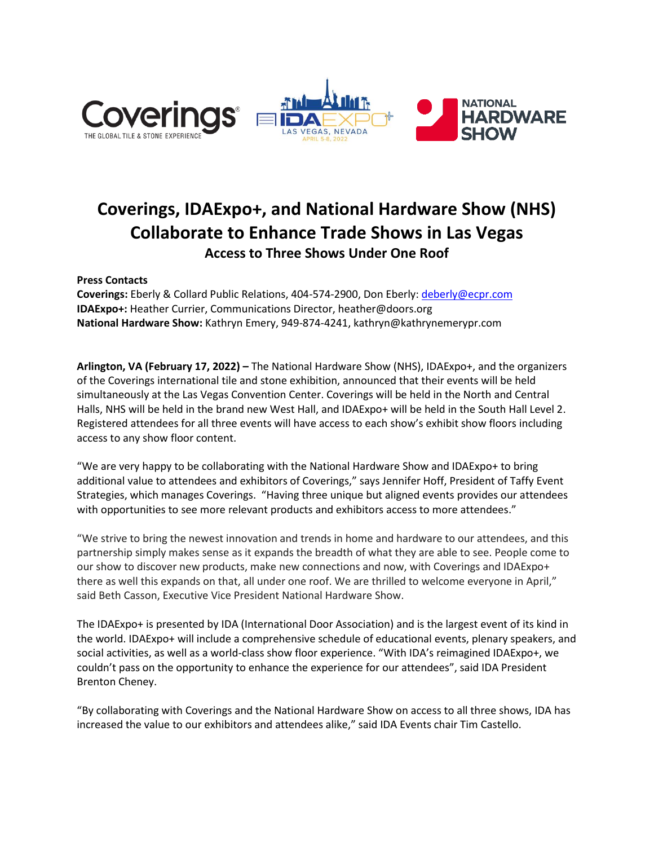

## **Coverings, IDAExpo+, and National Hardware Show (NHS) Collaborate to Enhance Trade Shows in Las Vegas Access to Three Shows Under One Roof**

**Press Contacts**

**Coverings:** Eberly & Collard Public Relations, 404-574-2900, Don Eberly[: deberly@ecpr.com](mailto:deberly@ecpr.com) **IDAExpo+:** Heather Currier, Communications Director, heather@doors.org **National Hardware Show:** Kathryn Emery, 949-874-4241, kathryn@kathrynemerypr.com

**Arlington, VA (February 17, 2022) –** The National Hardware Show (NHS), IDAExpo+, and the organizers of the Coverings international tile and stone exhibition, announced that their events will be held simultaneously at the Las Vegas Convention Center. Coverings will be held in the North and Central Halls, NHS will be held in the brand new West Hall, and IDAExpo+ will be held in the South Hall Level 2. Registered attendees for all three events will have access to each show's exhibit show floors including access to any show floor content.

"We are very happy to be collaborating with the National Hardware Show and IDAExpo+ to bring additional value to attendees and exhibitors of Coverings," says Jennifer Hoff, President of Taffy Event Strategies, which manages Coverings. "Having three unique but aligned events provides our attendees with opportunities to see more relevant products and exhibitors access to more attendees."

"We strive to bring the newest innovation and trends in home and hardware to our attendees, and this partnership simply makes sense as it expands the breadth of what they are able to see. People come to our show to discover new products, make new connections and now, with Coverings and IDAExpo+ there as well this expands on that, all under one roof. We are thrilled to welcome everyone in April," said Beth Casson, Executive Vice President National Hardware Show.

The IDAExpo+ is presented by IDA (International Door Association) and is the largest event of its kind in the world. IDAExpo+ will include a comprehensive schedule of educational events, plenary speakers, and social activities, as well as a world-class show floor experience. "With IDA's reimagined IDAExpo+, we couldn't pass on the opportunity to enhance the experience for our attendees", said IDA President Brenton Cheney.

"By collaborating with Coverings and the National Hardware Show on access to all three shows, IDA has increased the value to our exhibitors and attendees alike," said IDA Events chair Tim Castello.